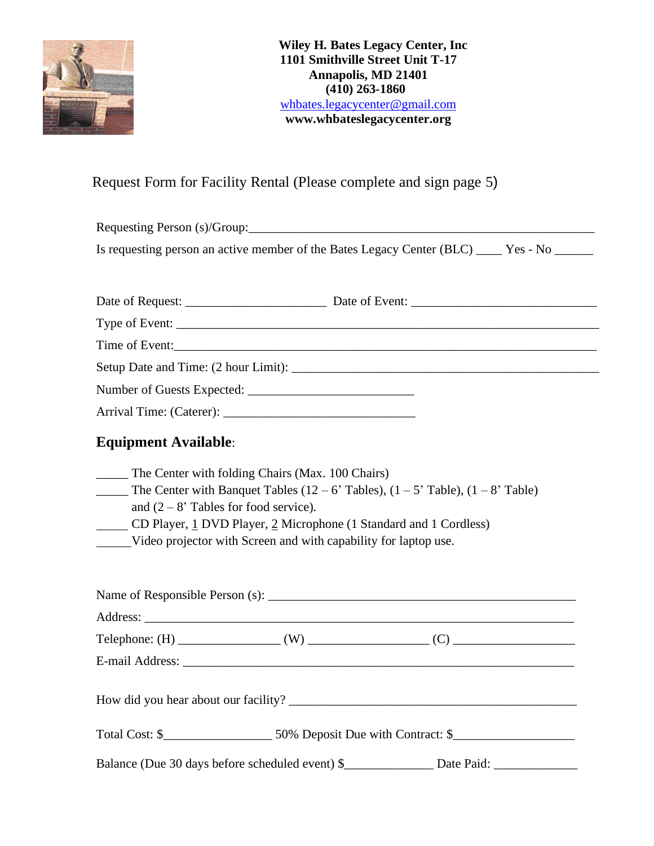

# Request Form for Facility Rental (Please complete and sign page 5)

Requesting Person (s)/Group:\_\_\_\_\_\_\_\_\_\_\_\_\_\_\_\_\_\_\_\_\_\_\_\_\_\_\_\_\_\_\_\_\_\_\_\_\_\_\_\_\_\_\_\_\_\_\_\_\_\_\_\_\_\_ Is requesting person an active member of the Bates Legacy Center (BLC) \_\_\_\_\_ Yes - No \_\_\_\_\_\_

| <b>Equipment Available:</b>                                                                                                                                                                                                                                                                                                       |                                                                                                       |
|-----------------------------------------------------------------------------------------------------------------------------------------------------------------------------------------------------------------------------------------------------------------------------------------------------------------------------------|-------------------------------------------------------------------------------------------------------|
| _____ The Center with folding Chairs (Max. 100 Chairs)<br><b>The Center with Banquet Tables (12 – 6' Tables), (1 – 5' Table), (1 – 8' Table)</b><br>and $(2-8)$ Tables for food service).<br>CD Player, 1 DVD Player, 2 Microphone (1 Standard and 1 Cordless)<br>Video projector with Screen and with capability for laptop use. |                                                                                                       |
|                                                                                                                                                                                                                                                                                                                                   |                                                                                                       |
|                                                                                                                                                                                                                                                                                                                                   |                                                                                                       |
|                                                                                                                                                                                                                                                                                                                                   |                                                                                                       |
|                                                                                                                                                                                                                                                                                                                                   |                                                                                                       |
|                                                                                                                                                                                                                                                                                                                                   |                                                                                                       |
|                                                                                                                                                                                                                                                                                                                                   |                                                                                                       |
|                                                                                                                                                                                                                                                                                                                                   | Balance (Due 30 days before scheduled event) \$__________________ Date Paid: ________________________ |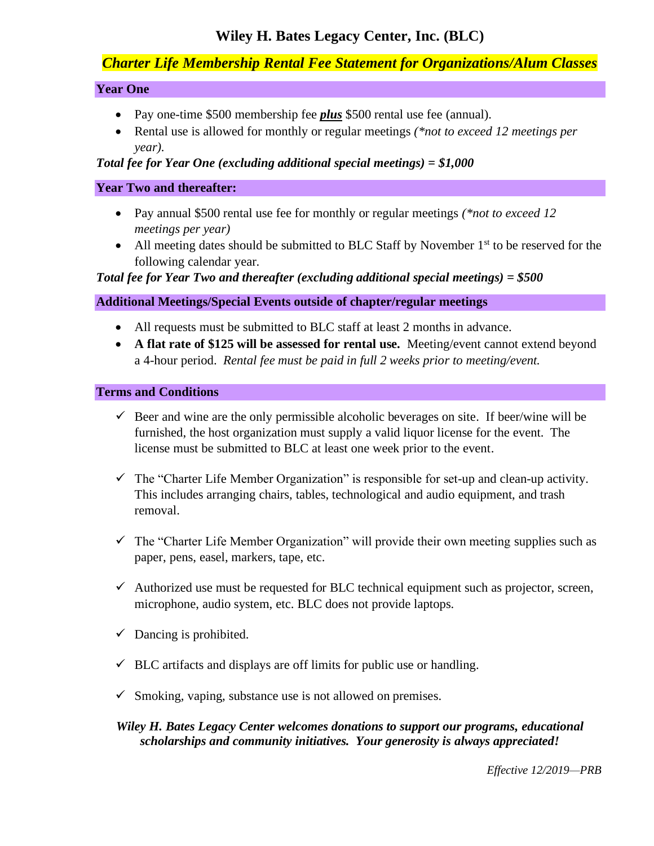# **Wiley H. Bates Legacy Center, Inc. (BLC)**

# *Charter Life Membership Rental Fee Statement for Organizations/Alum Classes*

### **Year One**

- Pay one-time \$500 membership fee *plus* \$500 rental use fee (annual).
- Rental use is allowed for monthly or regular meetings *(\*not to exceed 12 meetings per year).*

### *Total fee for Year One (excluding additional special meetings) = \$1,000*

### **Year Two and thereafter:**

- Pay annual \$500 rental use fee for monthly or regular meetings *(\*not to exceed 12 meetings per year)*
- All meeting dates should be submitted to BLC Staff by November  $1<sup>st</sup>$  to be reserved for the following calendar year.

*Total fee for Year Two and thereafter (excluding additional special meetings) = \$500*

# **Additional Meetings/Special Events outside of chapter/regular meetings**

- All requests must be submitted to BLC staff at least 2 months in advance.
- **A flat rate of \$125 will be assessed for rental use.** Meeting/event cannot extend beyond a 4-hour period. *Rental fee must be paid in full 2 weeks prior to meeting/event.*

### **Terms and Conditions**

- $\checkmark$  Beer and wine are the only permissible alcoholic beverages on site. If beer/wine will be furnished, the host organization must supply a valid liquor license for the event. The license must be submitted to BLC at least one week prior to the event.
- $\checkmark$  The "Charter Life Member Organization" is responsible for set-up and clean-up activity. This includes arranging chairs, tables, technological and audio equipment, and trash removal.
- $\checkmark$  The "Charter Life Member Organization" will provide their own meeting supplies such as paper, pens, easel, markers, tape, etc.
- $\checkmark$  Authorized use must be requested for BLC technical equipment such as projector, screen, microphone, audio system, etc. BLC does not provide laptops.
- $\checkmark$  Dancing is prohibited.
- $\checkmark$  BLC artifacts and displays are off limits for public use or handling.
- $\checkmark$  Smoking, vaping, substance use is not allowed on premises.

# *Wiley H. Bates Legacy Center welcomes donations to support our programs, educational scholarships and community initiatives. Your generosity is always appreciated!*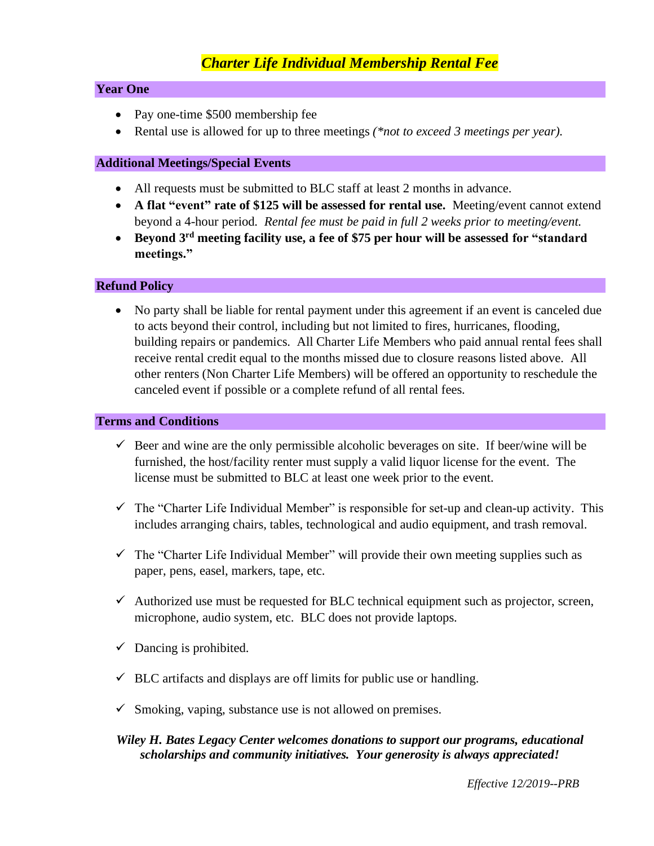# *Charter Life Individual Membership Rental Fee*

#### **Year One**

- Pay one-time \$500 membership fee
- Rental use is allowed for up to three meetings *(\*not to exceed 3 meetings per year).*

#### **Additional Meetings/Special Events**

- All requests must be submitted to BLC staff at least 2 months in advance.
- **A flat "event" rate of \$125 will be assessed for rental use.** Meeting/event cannot extend beyond a 4-hour period. *Rental fee must be paid in full 2 weeks prior to meeting/event.*
- **Beyond 3rd meeting facility use, a fee of \$75 per hour will be assessed for "standard meetings."**

#### **Refund Policy**

• No party shall be liable for rental payment under this agreement if an event is canceled due to acts beyond their control, including but not limited to fires, hurricanes, flooding, building repairs or pandemics. All Charter Life Members who paid annual rental fees shall receive rental credit equal to the months missed due to closure reasons listed above. All other renters (Non Charter Life Members) will be offered an opportunity to reschedule the canceled event if possible or a complete refund of all rental fees.

#### **Terms and Conditions**

- $\checkmark$  Beer and wine are the only permissible alcoholic beverages on site. If beer/wine will be furnished, the host/facility renter must supply a valid liquor license for the event. The license must be submitted to BLC at least one week prior to the event.
- $\checkmark$  The "Charter Life Individual Member" is responsible for set-up and clean-up activity. This includes arranging chairs, tables, technological and audio equipment, and trash removal.
- $\checkmark$  The "Charter Life Individual Member" will provide their own meeting supplies such as paper, pens, easel, markers, tape, etc.
- $\checkmark$  Authorized use must be requested for BLC technical equipment such as projector, screen, microphone, audio system, etc. BLC does not provide laptops.
- $\checkmark$  Dancing is prohibited.
- $\checkmark$  BLC artifacts and displays are off limits for public use or handling.
- $\checkmark$  Smoking, vaping, substance use is not allowed on premises.

# *Wiley H. Bates Legacy Center welcomes donations to support our programs, educational scholarships and community initiatives. Your generosity is always appreciated!*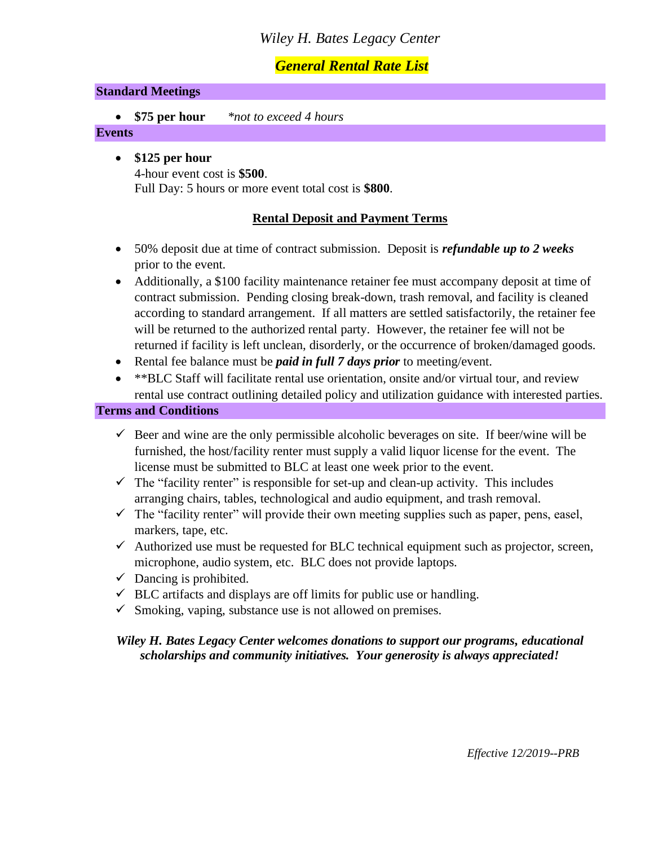# *Wiley H. Bates Legacy Center*

# *General Rental Rate List*

### **Standard Meetings**

• **\$75 per hour** *\*not to exceed 4 hours*

### **Events**

• **\$125 per hour** 4-hour event cost is **\$500**. Full Day: 5 hours or more event total cost is **\$800**.

# **Rental Deposit and Payment Terms**

- 50% deposit due at time of contract submission. Deposit is *refundable up to 2 weeks* prior to the event.
- Additionally, a \$100 facility maintenance retainer fee must accompany deposit at time of contract submission. Pending closing break-down, trash removal, and facility is cleaned according to standard arrangement. If all matters are settled satisfactorily, the retainer fee will be returned to the authorized rental party. However, the retainer fee will not be returned if facility is left unclean, disorderly, or the occurrence of broken/damaged goods.
- Rental fee balance must be *paid in full 7 days prior* to meeting/event.
- \*\*BLC Staff will facilitate rental use orientation, onsite and/or virtual tour, and review rental use contract outlining detailed policy and utilization guidance with interested parties.

#### **Terms and Conditions**

- $\checkmark$  Beer and wine are the only permissible alcoholic beverages on site. If beer/wine will be furnished, the host/facility renter must supply a valid liquor license for the event. The license must be submitted to BLC at least one week prior to the event.
- $\checkmark$  The "facility renter" is responsible for set-up and clean-up activity. This includes arranging chairs, tables, technological and audio equipment, and trash removal.
- $\checkmark$  The "facility renter" will provide their own meeting supplies such as paper, pens, easel, markers, tape, etc.
- $\checkmark$  Authorized use must be requested for BLC technical equipment such as projector, screen, microphone, audio system, etc. BLC does not provide laptops.
- $\checkmark$  Dancing is prohibited.
- $\checkmark$  BLC artifacts and displays are off limits for public use or handling.
- $\checkmark$  Smoking, vaping, substance use is not allowed on premises.

# *Wiley H. Bates Legacy Center welcomes donations to support our programs, educational scholarships and community initiatives. Your generosity is always appreciated!*